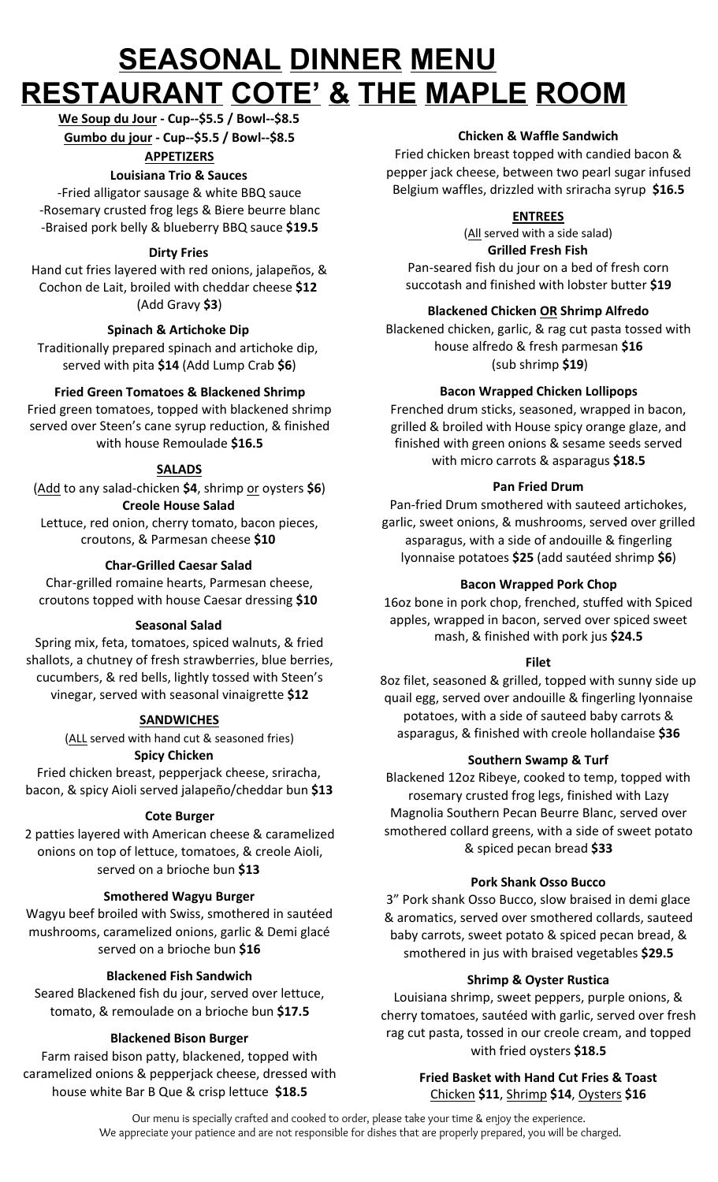# **SEASONAL DINNER MENU RESTAURANT COTE' & THE MAPLE ROOM**

**We Soup du Jour - Cup--\$5.5 / Bowl--\$8.5 Gumbo du jour - Cup--\$5.5 / Bowl--\$8.5**

**APPETIZERS**

# **Louisiana Trio & Sauces**

-Fried alligator sausage & white BBQ sauce -Rosemary crusted frog legs & Biere beurre blanc -Braised pork belly & blueberry BBQ sauce **\$19.5**

## **Dirty Fries**

Hand cut fries layered with red onions, jalapeños, & Cochon de Lait, broiled with cheddar cheese **\$12**  (Add Gravy **\$3**)

# **Spinach & Artichoke Dip**

Traditionally prepared spinach and artichoke dip, served with pita **\$14** (Add Lump Crab **\$6**)

# **Fried Green Tomatoes & Blackened Shrimp**

Fried green tomatoes, topped with blackened shrimp served over Steen's cane syrup reduction, & finished with house Remoulade **\$16.5**

# **SALADS**

(Add to any salad-chicken **\$4**, shrimp or oysters **\$6**) **Creole House Salad** Lettuce, red onion, cherry tomato, bacon pieces, croutons, & Parmesan cheese **\$10** 

#### **Char-Grilled Caesar Salad**

Char-grilled romaine hearts, Parmesan cheese, croutons topped with house Caesar dressing **\$10**

#### **Seasonal Salad**

Spring mix, feta, tomatoes, spiced walnuts, & fried shallots, a chutney of fresh strawberries, blue berries, cucumbers, & red bells, lightly tossed with Steen's vinegar, served with seasonal vinaigrette **\$12**

## **SANDWICHES**

(ALL served with hand cut & seasoned fries) **Spicy Chicken**

Fried chicken breast, pepperjack cheese, sriracha, bacon, & spicy Aioli served jalapeño/cheddar bun **\$13**

## **Cote Burger**

2 patties layered with American cheese & caramelized onions on top of lettuce, tomatoes, & creole Aioli, served on a brioche bun **\$13**

## **Smothered Wagyu Burger**

Wagyu beef broiled with Swiss, smothered in sautéed mushrooms, caramelized onions, garlic & Demi glacé served on a brioche bun **\$16**

## **Blackened Fish Sandwich**

Seared Blackened fish du jour, served over lettuce, tomato, & remoulade on a brioche bun **\$17.5**

## **Blackened Bison Burger**

Farm raised bison patty, blackened, topped with caramelized onions & pepperjack cheese, dressed with house white Bar B Que & crisp lettuce **\$18.5**

#### **Chicken & Waffle Sandwich**

Fried chicken breast topped with candied bacon & pepper jack cheese, between two pearl sugar infused Belgium waffles, drizzled with sriracha syrup **\$16.5**

#### **ENTREES**

(All served with a side salad) **Grilled Fresh Fish** Pan-seared fish du jour on a bed of fresh corn succotash and finished with lobster butter **\$19**

## **Blackened Chicken OR Shrimp Alfredo**

Blackened chicken, garlic, & rag cut pasta tossed with house alfredo & fresh parmesan **\$16** (sub shrimp **\$19**)

## **Bacon Wrapped Chicken Lollipops**

Frenched drum sticks, seasoned, wrapped in bacon, grilled & broiled with House spicy orange glaze, and finished with green onions & sesame seeds served with micro carrots & asparagus **\$18.5**

#### **Pan Fried Drum**

Pan-fried Drum smothered with sauteed artichokes, garlic, sweet onions, & mushrooms, served over grilled asparagus, with a side of andouille & fingerling lyonnaise potatoes **\$25** (add sautéed shrimp **\$6**)

#### **Bacon Wrapped Pork Chop**

16oz bone in pork chop, frenched, stuffed with Spiced apples, wrapped in bacon, served over spiced sweet mash, & finished with pork jus **\$24.5**

#### **Filet**

8oz filet, seasoned & grilled, topped with sunny side up quail egg, served over andouille & fingerling lyonnaise potatoes, with a side of sauteed baby carrots & asparagus, & finished with creole hollandaise **\$36**

#### **Southern Swamp & Turf**

Blackened 12oz Ribeye, cooked to temp, topped with rosemary crusted frog legs, finished with Lazy Magnolia Southern Pecan Beurre Blanc, served over smothered collard greens, with a side of sweet potato & spiced pecan bread **\$33**

#### **Pork Shank Osso Bucco**

3" Pork shank Osso Bucco, slow braised in demi glace & aromatics, served over smothered collards, sauteed baby carrots, sweet potato & spiced pecan bread, & smothered in jus with braised vegetables **\$29.5**

#### **Shrimp & Oyster Rustica**

Louisiana shrimp, sweet peppers, purple onions, & cherry tomatoes, sautéed with garlic, served over fresh rag cut pasta, tossed in our creole cream, and topped with fried oysters **\$18.5**

# **Fried Basket with Hand Cut Fries & Toast** Chicken **\$11**, Shrimp **\$14**, Oysters **\$16**

Our menu is specially crafted and cooked to order, please take your time & enjoy the experience. We appreciate your patience and are not responsible for dishes that are properly prepared, you will be charged.